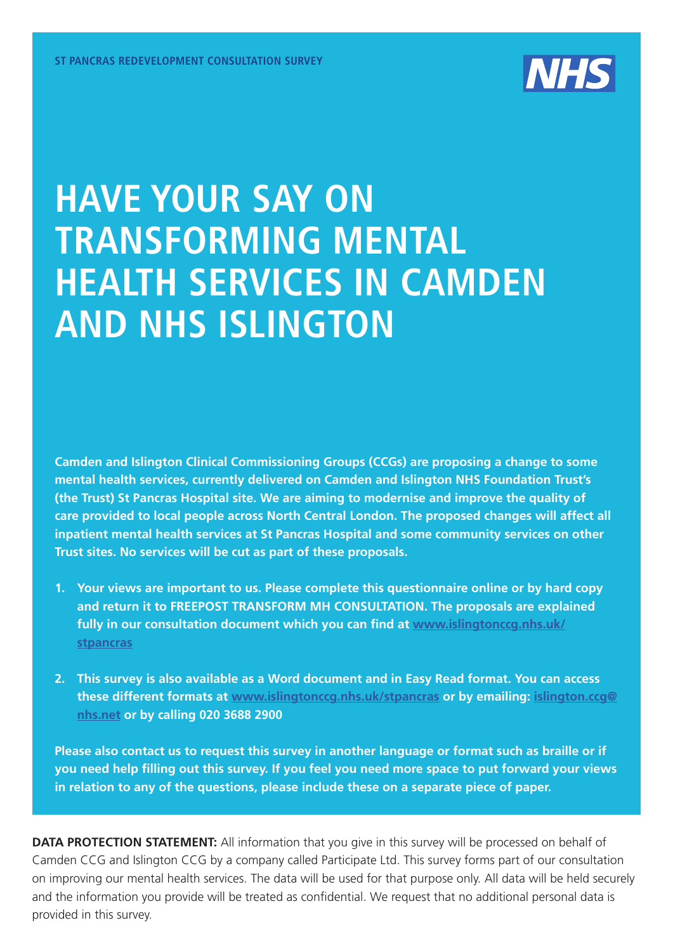

### **HAVE YOUR SAY ON TRANSFORMING MENTAL HEALTH SERVICES IN CAMDEN AND NHS ISLINGTON**

**Camden and Islington Clinical Commissioning Groups (CCGs) are proposing a change to some mental health services, currently delivered on Camden and Islington NHS Foundation Trust's (the Trust) St Pancras Hospital site. We are aiming to modernise and improve the quality of care provided to local people across North Central London. The proposed changes will affect all inpatient mental health services at St Pancras Hospital and some community services on other Trust sites. No services will be cut as part of these proposals.** 

- **1. Your views are important to us. Please complete this questionnaire online or by hard copy and return it to FREEPOST TRANSFORM MH CONSULTATION. The proposals are explained fully in our consultation document which you can find at [www.islingtonccg.nhs.uk/](http://www.islingtonccg.nhs.uk/Get-Involved/Consultations/st-pancras-redevelopment.htm) [stpancras](http://www.islingtonccg.nhs.uk/Get-Involved/Consultations/st-pancras-redevelopment.htm)**
- **2. This survey is also available as a Word document and in Easy Read format. You can access these different formats at [www.islingtonccg.nhs.uk/stpancras](http://www.islingtonccg.nhs.uk/Get-Involved/Consultations/st-pancras-redevelopment.htm) or by emailing: [islington.ccg@](mailto:islington.ccg@nhs.net) [nhs.net](mailto:islington.ccg@nhs.net) or by calling 020 3688 2900**

**Please also contact us to request this survey in another language or format such as braille or if you need help filling out this survey. If you feel you need more space to put forward your views in relation to any of the questions, please include these on a separate piece of paper.** 

**DATA PROTECTION STATEMENT:** All information that you give in this survey will be processed on behalf of Camden CCG and Islington CCG by a company called Participate Ltd. This survey forms part of our consultation on improving our mental health services. The data will be used for that purpose only. All data will be held securely and the information you provide will be treated as confidential. We request that no additional personal data is provided in this survey.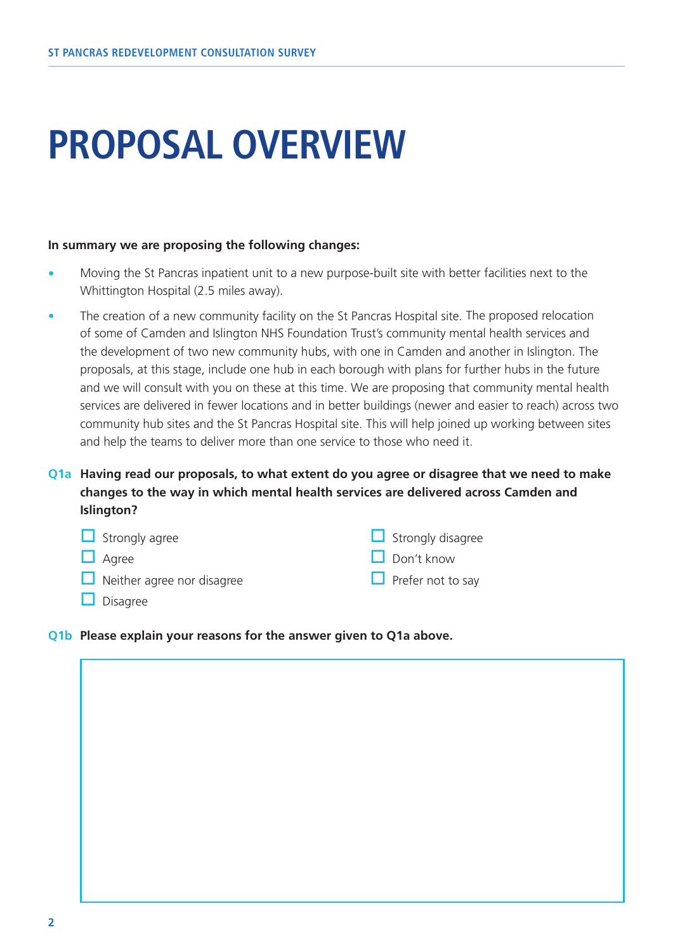# **PROPOSAL OVERVIEW**

#### **In summary we are proposing the following changes:**

- Moving the St Pancras inpatient unit to a new purpose-built site with better facilities next to the Whittington Hospital (2.5 miles away).
- The creation of a new community facility on the St Pancras Hospital site. The proposed relocation of some of Camden and Islington NHS Foundation Trust's community mental health services and the development of two new community hubs, with one in Camden and another in Islington. The proposals, at this stage, include one hub in each borough with plans for further hubs in the future and we will consult with you on these at this time. We are proposing that community mental health services are delivered in fewer locations and in better buildings (newer and easier to reach) across two community hub sites and the St Pancras Hospital site. This will help joined up working between sites and help the teams to deliver more than one service to those who need it.
- **Q1a Having read our proposals, to what extent do you agree or disagree that we need to make changes to the way in which mental health services are delivered across Camden and Islington?**

| $\Box$ Strongly agree             | $\Box$ Strongly disagree |
|-----------------------------------|--------------------------|
| $\Box$ Agree                      | $\Box$ Don't know        |
| $\Box$ Neither agree nor disagree | $\Box$ Prefer not to say |
| $\Box$ Disagree                   |                          |

**Q1b Please explain your reasons for the answer given to Q1a above.**

**2**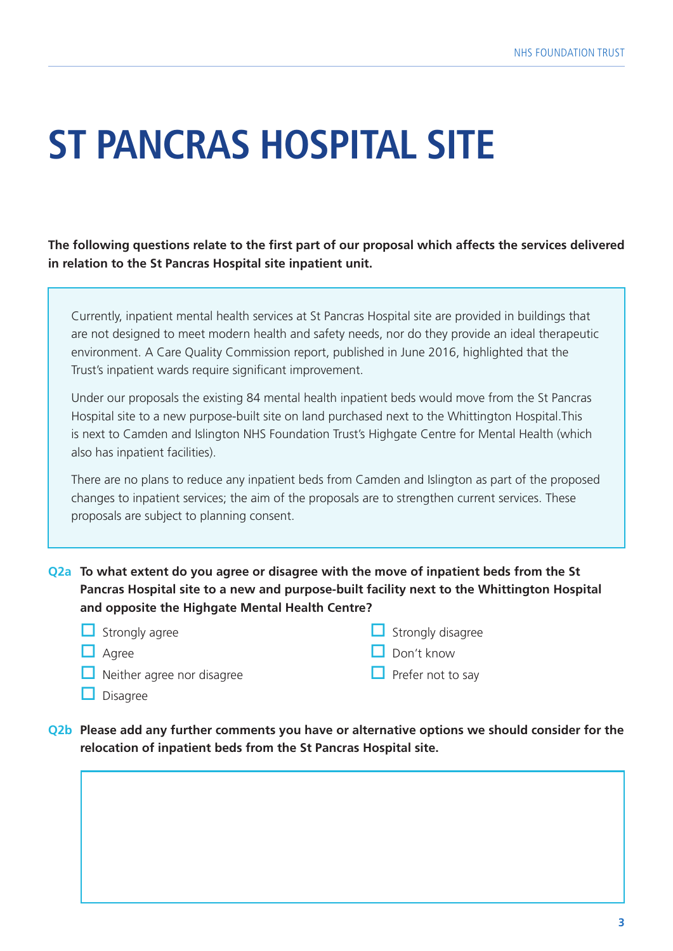# **ST PANCRAS HOSPITAL SITE**

**The following questions relate to the first part of our proposal which affects the services delivered in relation to the St Pancras Hospital site inpatient unit.**

Currently, inpatient mental health services at St Pancras Hospital site are provided in buildings that are not designed to meet modern health and safety needs, nor do they provide an ideal therapeutic environment. A Care Quality Commission report, published in June 2016, highlighted that the Trust's inpatient wards require significant improvement.

Under our proposals the existing 84 mental health inpatient beds would move from the St Pancras Hospital site to a new purpose-built site on land purchased next to the Whittington Hospital.This is next to Camden and Islington NHS Foundation Trust's Highgate Centre for Mental Health (which also has inpatient facilities).

There are no plans to reduce any inpatient beds from Camden and Islington as part of the proposed changes to inpatient services; the aim of the proposals are to strengthen current services. These proposals are subject to planning consent.

**Q2a To what extent do you agree or disagree with the move of inpatient beds from the St Pancras Hospital site to a new and purpose-built facility next to the Whittington Hospital and opposite the Highgate Mental Health Centre?**

| $\Box$ Strongly agree             | $\Box$ Strongly disagree |
|-----------------------------------|--------------------------|
| $\Box$ Agree                      | $\Box$ Don't know        |
| $\Box$ Neither agree nor disagree | $\Box$ Prefer not to say |
| $\Box$ Disagree                   |                          |

**Q2b Please add any further comments you have or alternative options we should consider for the relocation of inpatient beds from the St Pancras Hospital site.**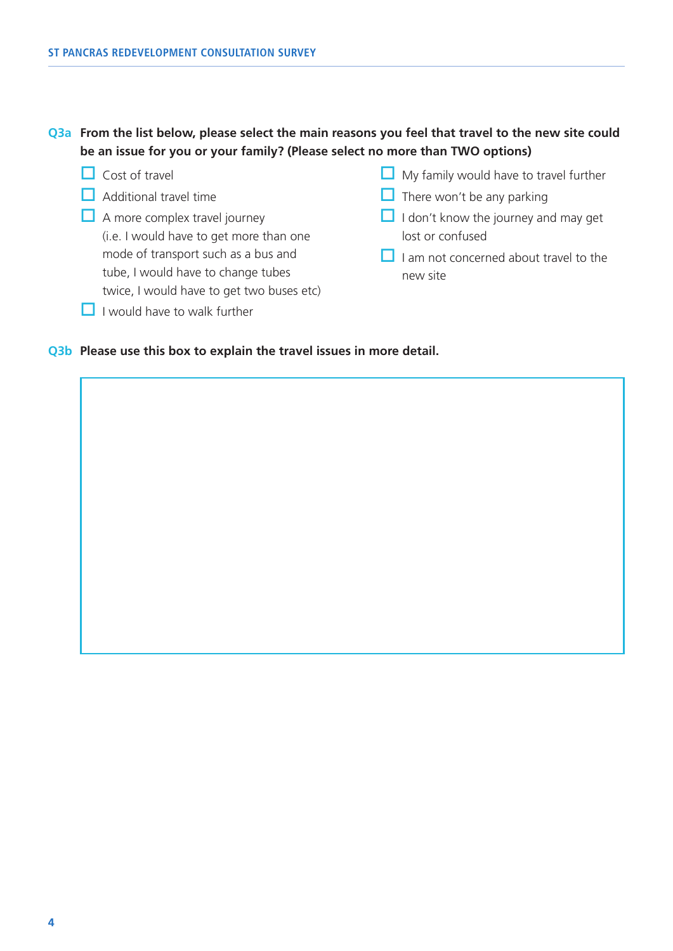#### **Q3a From the list below, please select the main reasons you feel that travel to the new site could be an issue for you or your family? (Please select no more than TWO options)**

- $\Box$  Cost of travel
- $\Box$  Additional travel time
- $\Box$  A more complex travel journey (i.e. I would have to get more than one mode of transport such as a bus and tube, I would have to change tubes twice, I would have to get two buses etc)
- $\Box$  I would have to walk further
- $\Box$  My family would have to travel further
- $\Box$  There won't be any parking
- $\Box$  I don't know the journey and may get lost or confused
- $\Box$  I am not concerned about travel to the new site

#### **Q3b Please use this box to explain the travel issues in more detail.**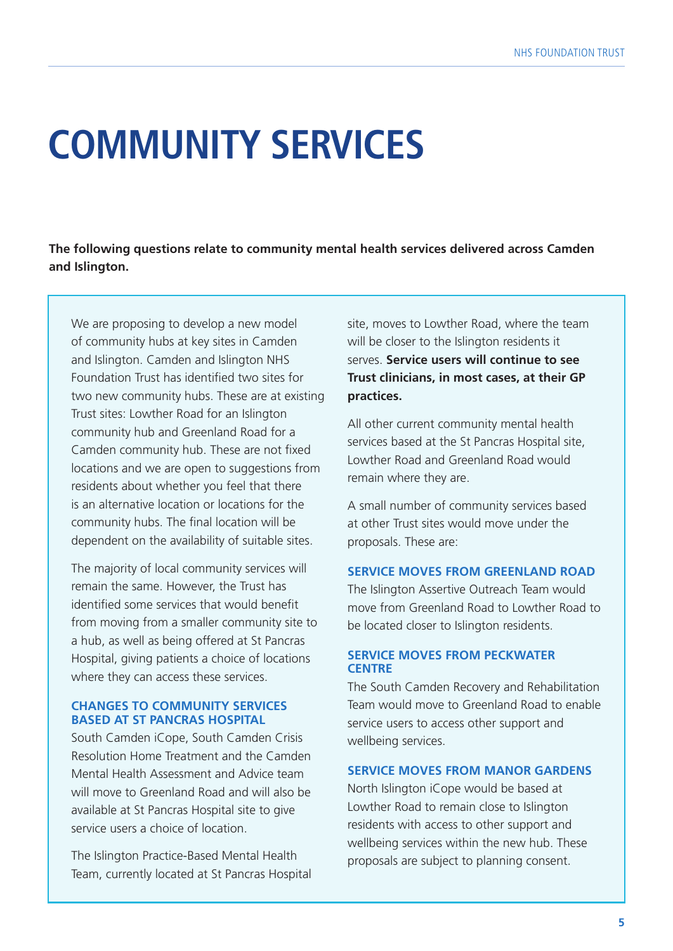## **COMMUNITY SERVICES**

**The following questions relate to community mental health services delivered across Camden and Islington.**

We are proposing to develop a new model of community hubs at key sites in Camden and Islington. Camden and Islington NHS Foundation Trust has identified two sites for two new community hubs. These are at existing Trust sites: Lowther Road for an Islington community hub and Greenland Road for a Camden community hub. These are not fixed locations and we are open to suggestions from residents about whether you feel that there is an alternative location or locations for the community hubs. The final location will be dependent on the availability of suitable sites.

The majority of local community services will remain the same. However, the Trust has identified some services that would benefit from moving from a smaller community site to a hub, as well as being offered at St Pancras Hospital, giving patients a choice of locations where they can access these services.

#### **CHANGES TO COMMUNITY SERVICES BASED AT ST PANCRAS HOSPITAL**

South Camden iCope, South Camden Crisis Resolution Home Treatment and the Camden Mental Health Assessment and Advice team will move to Greenland Road and will also be available at St Pancras Hospital site to give service users a choice of location.

The Islington Practice-Based Mental Health Team, currently located at St Pancras Hospital

site, moves to Lowther Road, where the team will be closer to the Islington residents it serves. **Service users will continue to see Trust clinicians, in most cases, at their GP practices.** 

All other current community mental health services based at the St Pancras Hospital site, Lowther Road and Greenland Road would remain where they are.

A small number of community services based at other Trust sites would move under the proposals. These are:

#### **SERVICE MOVES FROM GREENLAND ROAD**

The Islington Assertive Outreach Team would move from Greenland Road to Lowther Road to be located closer to Islington residents.

#### **SERVICE MOVES FROM PECKWATER CENTRE**

The South Camden Recovery and Rehabilitation Team would move to Greenland Road to enable service users to access other support and wellbeing services.

#### **SERVICE MOVES FROM MANOR GARDENS**

North Islington iCope would be based at Lowther Road to remain close to Islington residents with access to other support and wellbeing services within the new hub. These proposals are subject to planning consent.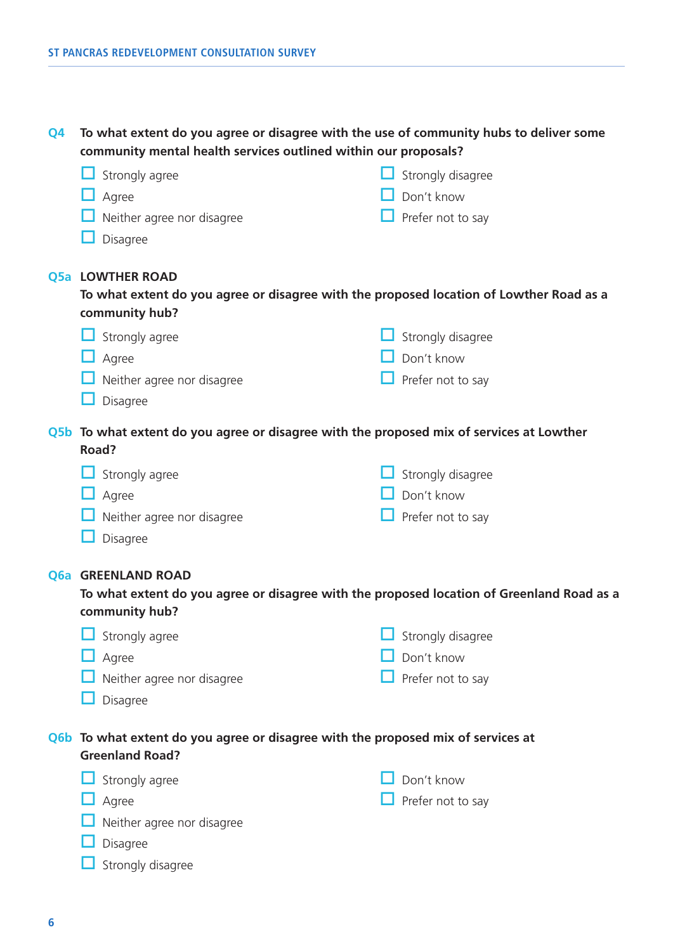**Q4 To what extent do you agree or disagree with the use of community hubs to deliver some community mental health services outlined within our proposals?**

| Strongly agree                                                                            | Strongly disagree |
|-------------------------------------------------------------------------------------------|-------------------|
| Agree                                                                                     | Don't know        |
| Neither agree nor disagree                                                                | Prefer not to say |
| Disagree                                                                                  |                   |
| <b>Q5a LOWTHER ROAD</b>                                                                   |                   |
| To what extent do you agree or disagree with the proposed location of Lowther Road as a   |                   |
| community hub?                                                                            |                   |
| Strongly agree                                                                            | Strongly disagree |
| Agree                                                                                     | Don't know        |
| Neither agree nor disagree                                                                | Prefer not to say |
| Disagree                                                                                  |                   |
| Q5b To what extent do you agree or disagree with the proposed mix of services at Lowther  |                   |
| Road?                                                                                     |                   |
| Strongly agree                                                                            | Strongly disagree |
| Agree                                                                                     | Don't know        |
| Neither agree nor disagree                                                                | Prefer not to say |
| Disagree                                                                                  |                   |
| Q6a GREENLAND ROAD                                                                        |                   |
| To what extent do you agree or disagree with the proposed location of Greenland Road as a |                   |
| community hub?                                                                            |                   |

| $\Box$ Strongly agree             | $\Box$ Strongly disagree |
|-----------------------------------|--------------------------|
| $\Box$ Agree                      | $\Box$ Don't know        |
| $\Box$ Neither agree nor disagree | $\Box$ Prefer not to say |
| $\Box$ Disagree                   |                          |

#### **Q6b To what extent do you agree or disagree with the proposed mix of services at Greenland Road?**

| $\Box$ Strongly agree             | $\Box$ Don't know        |
|-----------------------------------|--------------------------|
| $\Box$ Agree                      | $\Box$ Prefer not to say |
| $\Box$ Neither agree nor disagree |                          |
| $\Box$ Disagree                   |                          |

 $\Box$  Strongly disagree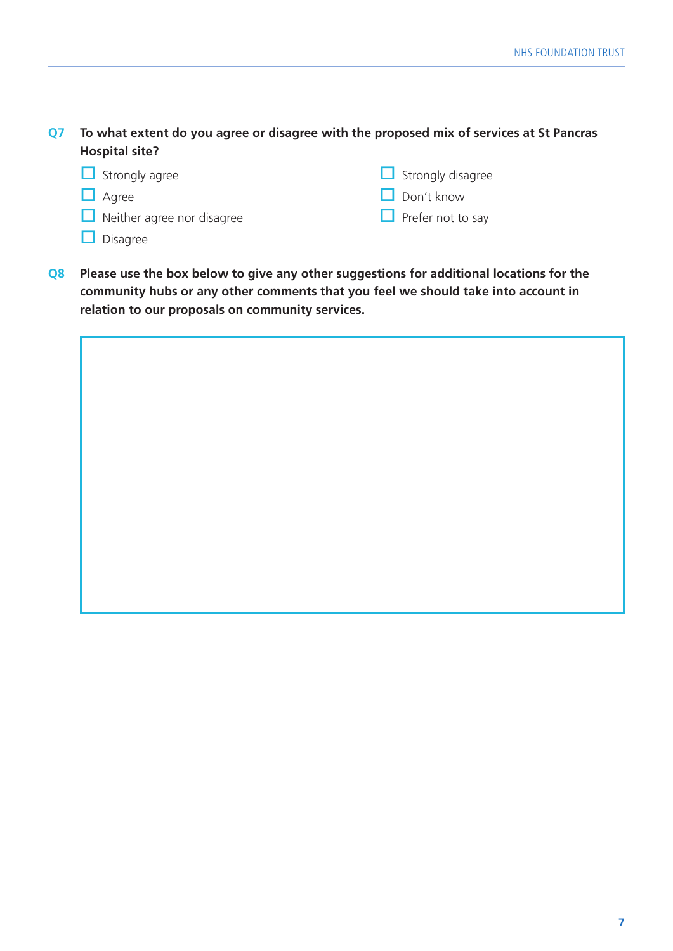**Q7 To what extent do you agree or disagree with the proposed mix of services at St Pancras Hospital site?**

| $\Box$ Strongly agree             | $\Box$ Strongly disagree |
|-----------------------------------|--------------------------|
| $\Box$ Agree                      | $\Box$ Don't know        |
| $\Box$ Neither agree nor disagree | $\Box$ Prefer not to say |
| $\Box$ Disagree                   |                          |

**Q8 Please use the box below to give any other suggestions for additional locations for the community hubs or any other comments that you feel we should take into account in relation to our proposals on community services.**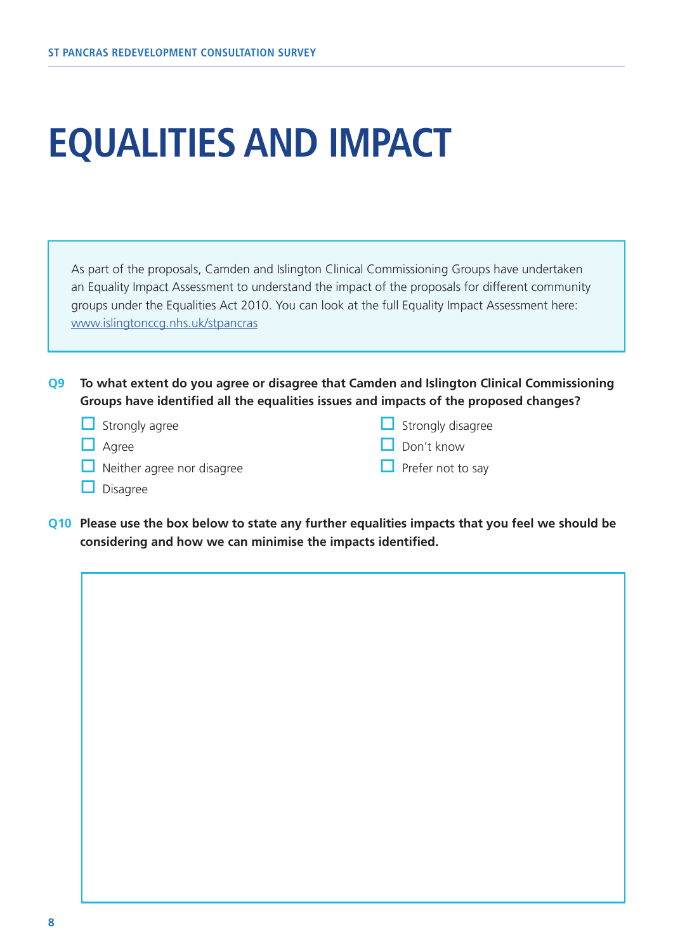## **EQUALITIES AND IMPACT**

As part of the proposals, Camden and Islington Clinical Commissioning Groups have undertaken an Equality Impact Assessment to understand the impact of the proposals for different community groups under the Equalities Act 2010. You can look at the full Equality Impact Assessment here: [www.islingtonccg.nhs.uk/stpancras](http://www.islingtonccg.nhs.uk/Get-Involved/Consultations/st-pancras-redevelopment.htm)

**Q9 To what extent do you agree or disagree that Camden and Islington Clinical Commissioning Groups have identified all the equalities issues and impacts of the proposed changes?** 

- $\Box$  Strongly agree
- $\Box$  Agree
- $\Box$  Neither agree nor disagree

 $\Box$  Strongly disagree  $\Box$  Don't know

 $\Box$  Prefer not to say

- $\Box$  Disagree
- **Q10 Please use the box below to state any further equalities impacts that you feel we should be considering and how we can minimise the impacts identified.**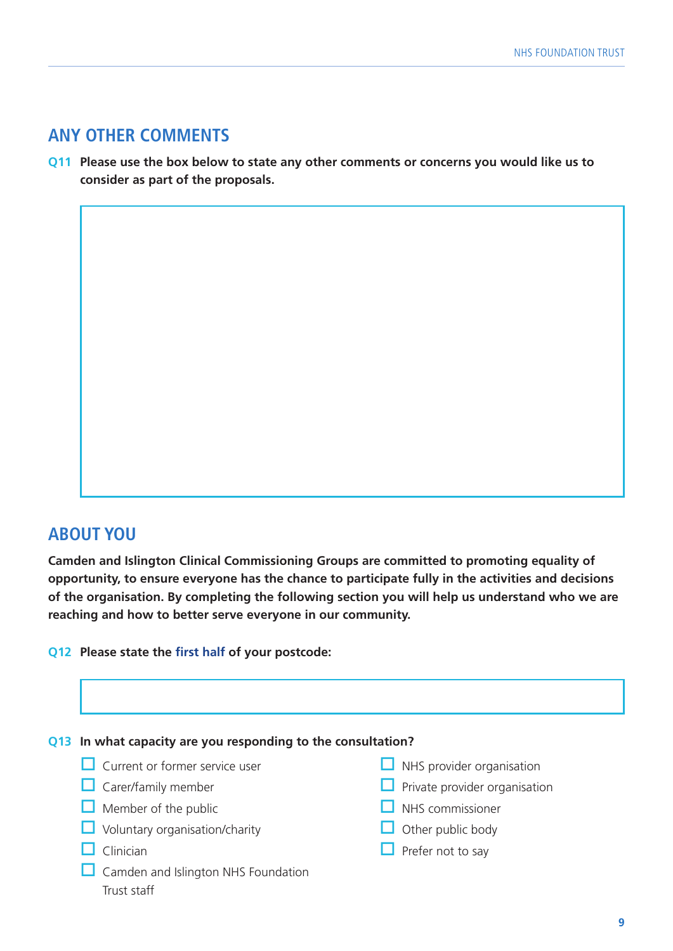### **ANY OTHER COMMENTS**

**Q11 Please use the box below to state any other comments or concerns you would like us to consider as part of the proposals.** 

### **ABOUT YOU**

**Camden and Islington Clinical Commissioning Groups are committed to promoting equality of opportunity, to ensure everyone has the chance to participate fully in the activities and decisions of the organisation. By completing the following section you will help us understand who we are reaching and how to better serve everyone in our community.** 

**Q12 Please state the first half of your postcode:**

#### **Q13 In what capacity are you responding to the consultation?**

- $\Box$  Current or former service user
- $\Box$  Carer/family member
- $\Box$  Member of the public
- $\Box$  Voluntary organisation/charity
- $\Box$  Clinician
- $\Box$  Camden and Islington NHS Foundation Trust staff
- $\Box$  NHS provider organisation
- $\Box$  Private provider organisation
- $\Box$  NHS commissioner
- $\Box$  Other public body
- $\Box$  Prefer not to say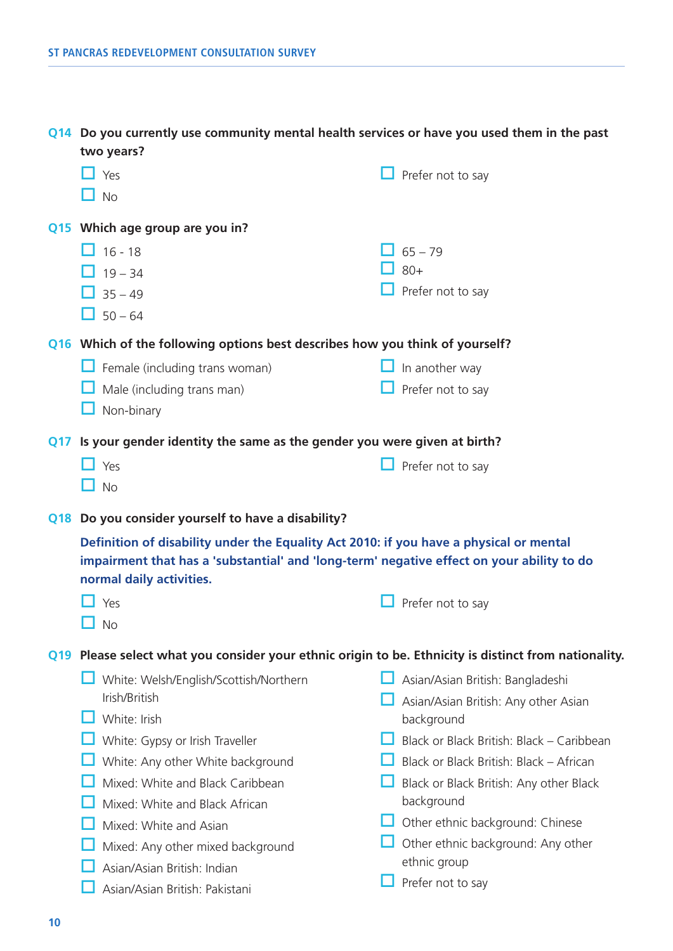| with the first content of the community moderness moderness contract of more first speed and more in the party<br>two years? |                          |
|------------------------------------------------------------------------------------------------------------------------------|--------------------------|
| Yes<br>H                                                                                                                     | $\Box$ Prefer not to say |
| H<br>No                                                                                                                      |                          |
| Q15 Which age group are you in?                                                                                              |                          |
| $\Box$ 16 - 18                                                                                                               | $\Box$ 65 – 79           |
| $19 - 34$                                                                                                                    | $80+$                    |
| $35 - 49$                                                                                                                    | Prefer not to say        |

**Q14 Do you currently use community mental health services or have you used them in the past** 

**Q16 Which of the following options best describes how you think of yourself?**

| $\Box$ Female (including trans woman) | $\Box$ In another way |
|---------------------------------------|-----------------------|
|                                       |                       |

- $\Box$  Male (including trans man)  $\Box$  Prefer not to say
	- $\Box$  Non-binary

 $\Box$  50 – 64

**Q17 Is your gender identity the same as the gender you were given at birth?**

| $\Box$ Yes | $\Box$ Prefer not to say |
|------------|--------------------------|
| $\Box$ No  |                          |

**Q18 Do you consider yourself to have a disability?**

**Definition of disability under the Equality Act 2010: if you have a physical or mental impairment that has a 'substantial' and 'long-term' negative effect on your ability to do normal daily activities.**

| . .<br>w |
|----------|
|----------|

 $\Pi$  No

**Q19 Please select what you consider your ethnic origin to be. Ethnicity is distinct from nationality.**

- $\Box$  White: Welsh/English/Scottish/Northern Irish/British
- $\Box$  White: Irish
- $\Box$  White: Gypsy or Irish Traveller
- $\Box$  White: Any other White background
- $\Box$  Mixed: White and Black Caribbean
- $\Box$  Mixed: White and Black African
- $\Box$  Mixed: White and Asian
- $\Box$  Mixed: Any other mixed background
- $\Box$  Asian/Asian British: Indian
- $\Box$  Asian/Asian British: Pakistani
- $\Box$  Asian/Asian British: Bangladeshi
- $\Box$  Asian/Asian British: Any other Asian background
- $\Box$  Black or Black British: Black Caribbean
- $\Box$  Black or Black British: Black African
- $\Box$  Black or Black British: Any other Black background
- $\Box$  Other ethnic background: Chinese
- $\Box$  Other ethnic background: Any other ethnic group
- $\Box$  Prefer not to say

 $\Box$  Prefer not to say